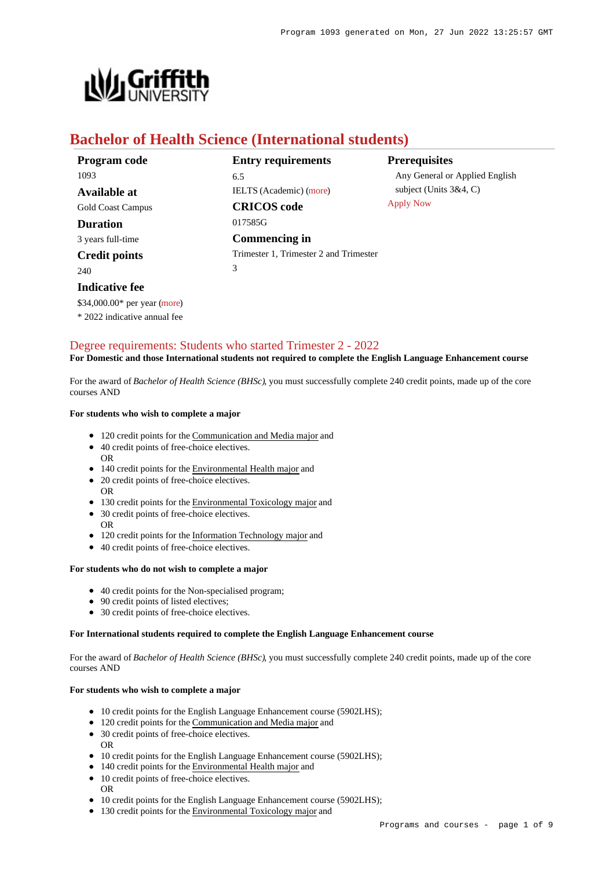

# **Bachelor of Health Science (International students)**

| Program code             | <b>Entry requirements</b>              | <b>Prerequisites</b>           |
|--------------------------|----------------------------------------|--------------------------------|
| 1093                     | 6.5                                    | Any General or Applied English |
| Available at             | <b>IELTS</b> (Academic) (more)         | subject (Units $3&4, C$ )      |
| <b>Gold Coast Campus</b> | <b>CRICOS</b> code                     | <b>Apply Now</b>               |
| <b>Duration</b>          | 017585G                                |                                |
| 3 years full-time        | Commencing in                          |                                |
| <b>Credit points</b>     | Trimester 1, Trimester 2 and Trimester |                                |
| 240                      | 3                                      |                                |
| Indicative fee           |                                        |                                |

## [Degree requirements: Students who started Trimester 2 - 2022](https://www148.griffith.edu.au/programs-courses/Program/1093/Courses/International#degree-requirements) **For Domestic and those International students not required to complete the English Language Enhancement course**

For the award of *Bachelor of Health Science (BHSc)*, you must successfully complete 240 credit points, made up of the core courses AND

#### **For students who wish to complete a major**

\$34,000.00\* per year [\(more](https://www148.griffith.edu.au/programs-courses/Program/1093/Overview/International#fees)) \* 2022 indicative annual fee

- 120 credit points for the Communication and Media major and
- 40 credit points of free-choice electives. OR
- 140 credit points for the Environmental Health major and
- 20 credit points of free-choice electives.
- 130 credit points for the Environmental Toxicology major and
- 30 credit points of free-choice electives.
- OR

OR

- 120 credit points for the Information Technology major and
- 40 credit points of free-choice electives.

#### **For students who do not wish to complete a major**

- 40 credit points for the Non-specialised program;
- 90 credit points of listed electives;
- 30 credit points of free-choice electives.

#### **For International students required to complete the English Language Enhancement course**

For the award of *Bachelor of Health Science (BHSc)*, you must successfully complete 240 credit points, made up of the core courses AND

#### **For students who wish to complete a major**

- 10 credit points for the English Language Enhancement course (5902LHS);
- 120 credit points for the Communication and Media major and
- 30 credit points of free-choice electives. OR
- 10 credit points for the English Language Enhancement course (5902LHS);
- 140 credit points for the Environmental Health major and
- 10 credit points of free-choice electives. OR
- 10 credit points for the English Language Enhancement course (5902LHS);
- 130 credit points for the Environmental Toxicology major and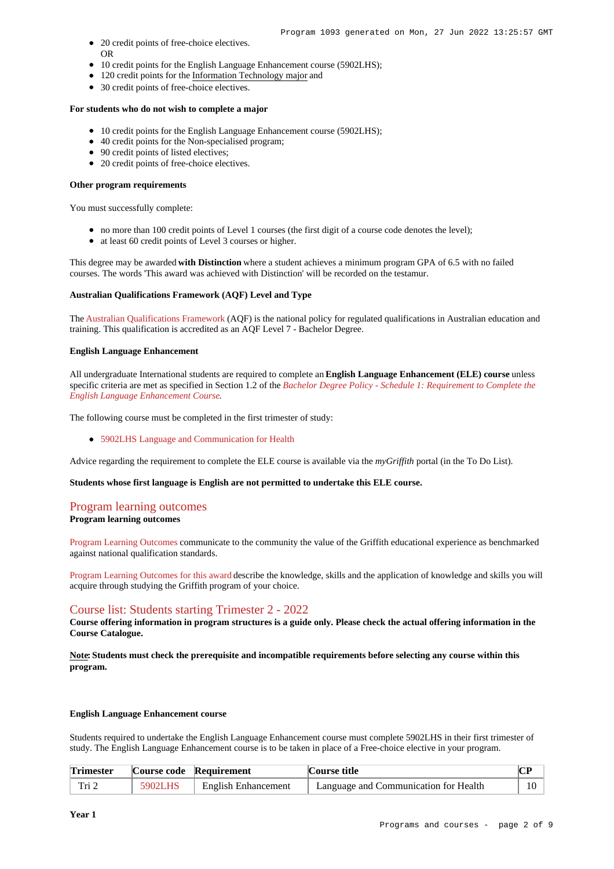- 20 credit points of free-choice electives. OR
- 10 credit points for the English Language Enhancement course (5902LHS);
- 120 credit points for the Information Technology major and
- 30 credit points of free-choice electives.

#### **For students who do not wish to complete a major**

- 10 credit points for the English Language Enhancement course (5902LHS);
- 40 credit points for the Non-specialised program;
- 90 credit points of listed electives;
- 20 credit points of free-choice electives.

#### **Other program requirements**

You must successfully complete:

- no more than 100 credit points of Level 1 courses (the first digit of a course code denotes the level);
- at least 60 credit points of Level 3 courses or higher.

This degree may be awarded **with Distinction** where a student achieves a minimum program GPA of 6.5 with no failed courses. The words 'This award was achieved with Distinction' will be recorded on the testamur.

#### **Australian Qualifications Framework (AQF) Level and Type**

The [Australian Qualifications Framework](http://www.aqf.edu.au/) (AQF) is the national policy for regulated qualifications in Australian education and training. This qualification is accredited as an AQF Level 7 - Bachelor Degree.

#### **English Language Enhancement**

All undergraduate International students are required to complete an **English Language Enhancement (ELE) course** unless specific criteria are met as specified in Section 1.2 of the *[Bachelor Degree Policy - Schedule 1: Requirement to Complete the](http://policies.griffith.edu.au/pdf/Bachelor Degree Policy Schedule 1.pdf) [English Language Enhancement Course](http://policies.griffith.edu.au/pdf/Bachelor Degree Policy Schedule 1.pdf)*.

The following course must be completed in the first trimester of study:

[5902LHS Language and Communication for Health](https://www148.griffith.edu.au/Course/5902LHS)

Advice regarding the requirement to complete the ELE course is available via the *myGriffith* portal (in the To Do List).

#### **Students whose first language is English are not permitted to undertake this ELE course.**

# [Program learning outcomes](https://www148.griffith.edu.au/programs-courses/Program/1093/Courses/International#programLearningOutcomes)

**Program learning outcomes**

[Program Learning Outcomes](https://www.griffith.edu.au/__data/assets/pdf_file/0017/134522/PLO-general-advice.pdf) communicate to the community the value of the Griffith educational experience as benchmarked against national qualification standards.

[Program Learning Outcomes for this award](https://www.griffith.edu.au/__data/assets/pdf_file/0029/295625/BHealth-Science-PLO-L7.pdf) describe the knowledge, skills and the application of knowledge and skills you will acquire through studying the Griffith program of your choice.

## [Course list: Students starting Trimester 2 - 2022](https://www148.griffith.edu.au/programs-courses/Program/1093/Courses/International#course-list-content)

**Course offering information in program structures is a guide only. Please check the actual offering information in the Course Catalogue.**

**Note: Students must check the prerequisite and incompatible requirements before selecting any course within this program.**

#### **English Language Enhancement course**

Students required to undertake the English Language Enhancement course must complete 5902LHS in their first trimester of study. The English Language Enhancement course is to be taken in place of a Free-choice elective in your program.

| <b>Trimester</b> |         | Course code Requirement    | Course title                          | $\mathbf{m}$ |
|------------------|---------|----------------------------|---------------------------------------|--------------|
| Tri 2            | 5902LHS | <b>English Enhancement</b> | Language and Communication for Health |              |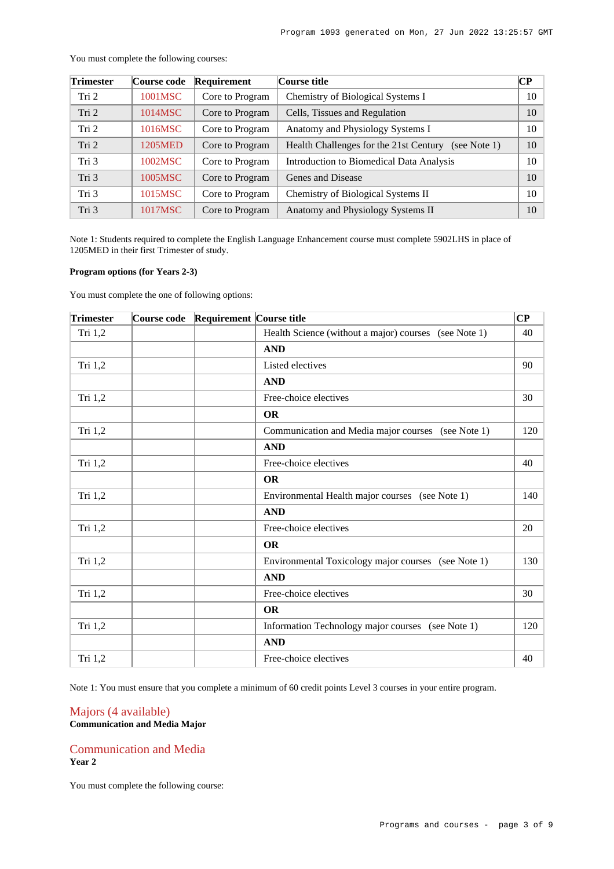| <b>Trimester</b> | <b>Course code</b> | Requirement     | Course title                                           | CР |
|------------------|--------------------|-----------------|--------------------------------------------------------|----|
| Tri 2            | 1001MSC            | Core to Program | Chemistry of Biological Systems I                      | 10 |
| Tri 2            | 1014MSC            | Core to Program | Cells, Tissues and Regulation                          | 10 |
| Tri 2            | 1016MSC            | Core to Program | Anatomy and Physiology Systems I                       | 10 |
| Tri 2            | 1205MED            | Core to Program | Health Challenges for the 21st Century<br>(see Note 1) | 10 |
| Tri 3            | 1002MSC            | Core to Program | Introduction to Biomedical Data Analysis               | 10 |
| Tri 3            | 1005MSC            | Core to Program | Genes and Disease                                      | 10 |
| Tri 3            | 1015MSC            | Core to Program | Chemistry of Biological Systems II                     | 10 |
| Tri 3            | 1017MSC            | Core to Program | Anatomy and Physiology Systems II                      | 10 |

You must complete the following courses:

Note 1: Students required to complete the English Language Enhancement course must complete 5902LHS in place of 1205MED in their first Trimester of study.

#### **Program options (for Years 2-3)**

You must complete the one of following options:

| <b>Trimester</b> | <b>Course code</b> | Requirement Course title |                                                       | CP  |
|------------------|--------------------|--------------------------|-------------------------------------------------------|-----|
| Tri 1,2          |                    |                          | Health Science (without a major) courses (see Note 1) | 40  |
|                  |                    |                          | <b>AND</b>                                            |     |
| Tri 1,2          |                    |                          | Listed electives                                      | 90  |
|                  |                    |                          | <b>AND</b>                                            |     |
| Tri 1,2          |                    |                          | Free-choice electives                                 | 30  |
|                  |                    |                          | <b>OR</b>                                             |     |
| Tri 1,2          |                    |                          | Communication and Media major courses (see Note 1)    | 120 |
|                  |                    |                          | <b>AND</b>                                            |     |
| Tri 1,2          |                    |                          | Free-choice electives                                 | 40  |
|                  |                    |                          | <b>OR</b>                                             |     |
| Tri 1,2          |                    |                          | Environmental Health major courses (see Note 1)       | 140 |
|                  |                    |                          | <b>AND</b>                                            |     |
| Tri 1,2          |                    |                          | Free-choice electives                                 | 20  |
|                  |                    |                          | <b>OR</b>                                             |     |
| Tri 1,2          |                    |                          | Environmental Toxicology major courses (see Note 1)   | 130 |
|                  |                    |                          | <b>AND</b>                                            |     |
| Tri 1,2          |                    |                          | Free-choice electives                                 | 30  |
|                  |                    |                          | <b>OR</b>                                             |     |
| Tri 1,2          |                    |                          | Information Technology major courses (see Note 1)     | 120 |
|                  |                    |                          | <b>AND</b>                                            |     |
| Tri 1,2          |                    |                          | Free-choice electives                                 | 40  |

Note 1: You must ensure that you complete a minimum of 60 credit points Level 3 courses in your entire program.

### Majors (4 available) **Communication and Media Major**

### Communication and Media **Year 2**

You must complete the following course: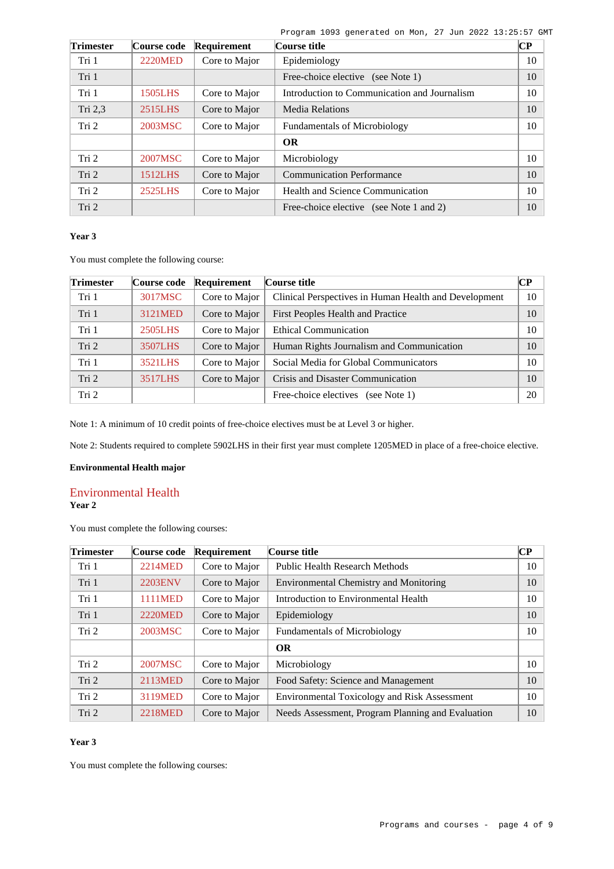Program 1093 generated on Mon, 27 Jun 2022 13:25:57 GMT

| <b>Trimester</b> | Course code    | Requirement   | Course title                                 | $\bf CP$ |
|------------------|----------------|---------------|----------------------------------------------|----------|
| Tri 1            | <b>2220MED</b> | Core to Major | Epidemiology                                 | 10       |
| Tri 1            |                |               | Free-choice elective (see Note 1)            | 10       |
| Tri 1            | 1505LHS        | Core to Major | Introduction to Communication and Journalism | 10       |
| Tri 2,3          | 2515LHS        | Core to Major | <b>Media Relations</b>                       | 10       |
| Tri <sub>2</sub> | 2003MSC        | Core to Major | <b>Fundamentals of Microbiology</b>          | 10       |
|                  |                |               | <b>OR</b>                                    |          |
| Tri 2            | 2007MSC        | Core to Major | Microbiology                                 | 10       |
| Tri 2            | 1512LHS        | Core to Major | <b>Communication Performance</b>             | 10       |
| Tri 2            | 2525LHS        | Core to Major | Health and Science Communication             | 10       |
| Tri 2            |                |               | Free-choice elective (see Note 1 and 2)      | 10       |

## **Year 3**

You must complete the following course:

| <b>Trimester</b> | Course code | Requirement   | Course title                                          | $\bf CP$ |
|------------------|-------------|---------------|-------------------------------------------------------|----------|
| Tri 1            | 3017MSC     | Core to Major | Clinical Perspectives in Human Health and Development | 10       |
| Tri 1            | 3121MED     | Core to Major | First Peoples Health and Practice                     | 10       |
| Tri 1            | 2505LHS     | Core to Major | <b>Ethical Communication</b>                          | 10       |
| Tri 2            | 3507LHS     | Core to Major | Human Rights Journalism and Communication             | 10       |
| Tri 1            | 3521LHS     | Core to Major | Social Media for Global Communicators                 | 10       |
| Tri 2            | 3517LHS     | Core to Major | Crisis and Disaster Communication                     | 10       |
| Tri <sub>2</sub> |             |               | Free-choice electives<br>(see Note $1$ )              | 20       |

Note 1: A minimum of 10 credit points of free-choice electives must be at Level 3 or higher.

Note 2: Students required to complete 5902LHS in their first year must complete 1205MED in place of a free-choice elective.

## **Environmental Health major**

#### Environmental Health **Year 2**

You must complete the following courses:

| <b>Trimester</b> | Course code    | Requirement   | Course title                                        | CР |
|------------------|----------------|---------------|-----------------------------------------------------|----|
| Tri 1            | 2214MED        | Core to Major | <b>Public Health Research Methods</b>               | 10 |
| Tri 1            | <b>2203ENV</b> | Core to Major | <b>Environmental Chemistry and Monitoring</b>       | 10 |
| Tri 1            | 1111MED        | Core to Major | Introduction to Environmental Health                | 10 |
| Tri 1            | <b>2220MED</b> | Core to Major | Epidemiology                                        | 10 |
| Tri 2            | 2003MSC        | Core to Major | <b>Fundamentals of Microbiology</b>                 | 10 |
|                  |                |               | <b>OR</b>                                           |    |
| Tri 2            | 2007MSC        | Core to Major | Microbiology                                        | 10 |
| Tri 2            | 2113MED        | Core to Major | Food Safety: Science and Management                 | 10 |
| Tri 2            | 3119MED        | Core to Major | <b>Environmental Toxicology and Risk Assessment</b> | 10 |
| Tri 2            | 2218MED        | Core to Major | Needs Assessment, Program Planning and Evaluation   | 10 |

## **Year 3**

You must complete the following courses: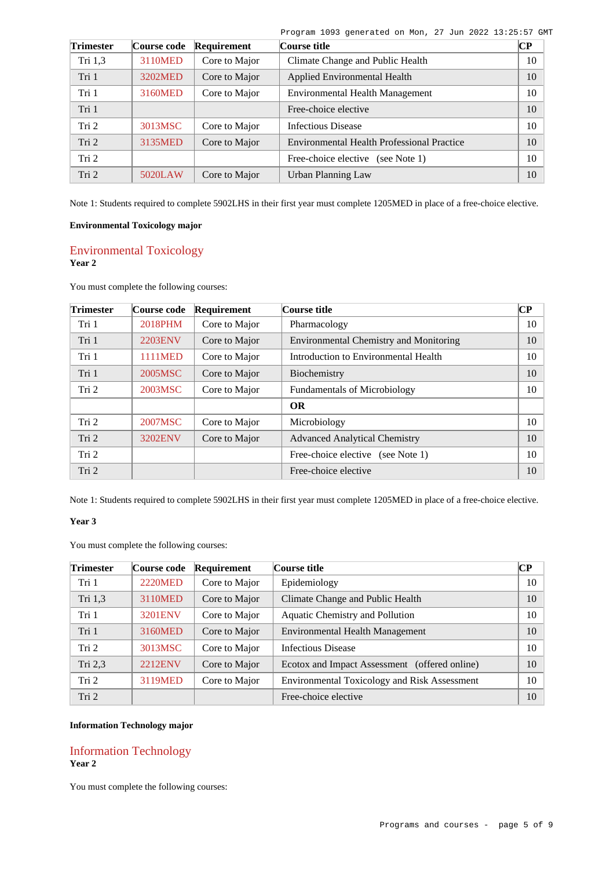|  |  | Program 1093 generated on Mon, 27 Jun 2022 13:25:57 GMT |  |  |  |  |  |  |  |
|--|--|---------------------------------------------------------|--|--|--|--|--|--|--|
|--|--|---------------------------------------------------------|--|--|--|--|--|--|--|

| <b>Trimester</b> | Course code | Requirement   | Course title                                      | $\overline{\mathbf{CP}}$ |
|------------------|-------------|---------------|---------------------------------------------------|--------------------------|
| Tri $1,3$        | 3110MED     | Core to Major | Climate Change and Public Health                  | 10                       |
| Tri 1            | 3202MED     | Core to Major | Applied Environmental Health                      | 10                       |
| Tri 1            | 3160MED     | Core to Major | <b>Environmental Health Management</b>            | 10                       |
| Tri 1            |             |               | Free-choice elective                              | 10                       |
| Tri 2            | 3013MSC     | Core to Major | <b>Infectious Disease</b>                         | 10                       |
| Tri 2            | 3135MED     | Core to Major | <b>Environmental Health Professional Practice</b> | 10                       |
| Tri 2            |             |               | Free-choice elective<br>(see Note 1)              | 10                       |
| Tri 2            | 5020LAW     | Core to Major | Urban Planning Law                                | 10                       |

Note 1: Students required to complete 5902LHS in their first year must complete 1205MED in place of a free-choice elective.

## **Environmental Toxicology major**

## Environmental Toxicology **Year 2**

You must complete the following courses:

| <b>Trimester</b> | Course code    | Requirement   | Course title                                  | $\overline{\mathbf{CP}}$ |
|------------------|----------------|---------------|-----------------------------------------------|--------------------------|
| Tri 1            | 2018PHM        | Core to Major | Pharmacology                                  | 10                       |
| Tri 1            | <b>2203ENV</b> | Core to Major | <b>Environmental Chemistry and Monitoring</b> | 10                       |
| Tri 1            | 1111MED        | Core to Major | Introduction to Environmental Health          | 10                       |
| Tri 1            | 2005MSC        | Core to Major | Biochemistry                                  | 10                       |
| Tri 2            | 2003MSC        | Core to Major | <b>Fundamentals of Microbiology</b>           | 10                       |
|                  |                |               | <b>OR</b>                                     |                          |
| Tri 2            | 2007MSC        | Core to Major | Microbiology                                  | 10                       |
| Tri 2            | <b>3202ENV</b> | Core to Major | <b>Advanced Analytical Chemistry</b>          | 10                       |
| Tri 2            |                |               | Free-choice elective<br>(see Note 1)          | 10                       |
| Tri 2            |                |               | Free-choice elective                          | 10                       |

Note 1: Students required to complete 5902LHS in their first year must complete 1205MED in place of a free-choice elective.

#### **Year 3**

You must complete the following courses:

| <b>Trimester</b> | Course code    | Requirement   | Course title                                        | CР |
|------------------|----------------|---------------|-----------------------------------------------------|----|
| Tri 1            | <b>2220MED</b> | Core to Major | Epidemiology                                        | 10 |
| Tri 1,3          | 3110MED        | Core to Major | Climate Change and Public Health                    | 10 |
| Tri 1            | <b>3201ENV</b> | Core to Major | Aquatic Chemistry and Pollution                     | 10 |
| Tri 1            | 3160MED        | Core to Major | Environmental Health Management                     | 10 |
| Tri 2            | 3013MSC        | Core to Major | Infectious Disease                                  | 10 |
| Tri 2,3          | <b>2212ENV</b> | Core to Major | Ecotox and Impact Assessment (offered online)       | 10 |
| Tri 2            | 3119MED        | Core to Major | <b>Environmental Toxicology and Risk Assessment</b> | 10 |
| Tri 2            |                |               | Free-choice elective                                | 10 |

## **Information Technology major**

## Information Technology **Year 2**

You must complete the following courses: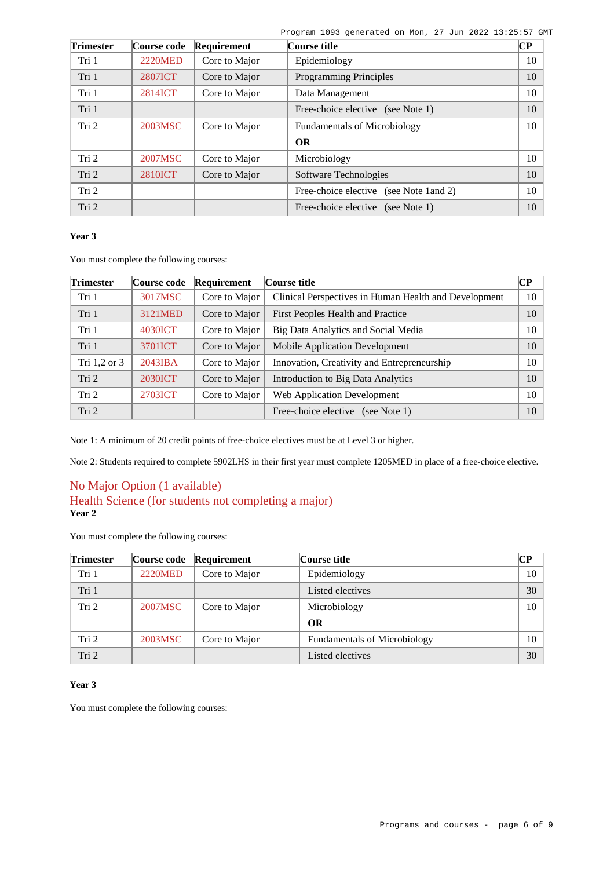Program 1093 generated on Mon, 27 Jun 2022 13:25:57 GMT

| <b>Trimester</b> | Course code    | Requirement   | Course title                            | CР |
|------------------|----------------|---------------|-----------------------------------------|----|
| Tri 1            | <b>2220MED</b> | Core to Major | Epidemiology                            | 10 |
| Tri 1            | <b>2807ICT</b> | Core to Major | <b>Programming Principles</b>           | 10 |
| Tri 1            | 2814ICT        | Core to Major | Data Management                         | 10 |
| Tri 1            |                |               | Free-choice elective (see Note 1)       | 10 |
| Tri 2            | 2003MSC        | Core to Major | <b>Fundamentals of Microbiology</b>     | 10 |
|                  |                |               | <b>OR</b>                               |    |
| Tri 2            | 2007MSC        | Core to Major | Microbiology                            | 10 |
| Tri 2            | <b>2810ICT</b> | Core to Major | Software Technologies                   | 10 |
| Tri <sub>2</sub> |                |               | Free-choice elective (see Note 1 and 2) | 10 |
| Tri 2            |                |               | Free-choice elective (see Note 1)       | 10 |

## **Year 3**

You must complete the following courses:

| <b>Trimester</b> | Course code    | Requirement   | Course title                                          |    |
|------------------|----------------|---------------|-------------------------------------------------------|----|
| Tri 1            | 3017MSC        | Core to Major | Clinical Perspectives in Human Health and Development | 10 |
| Tri 1            | 3121MED        | Core to Major | First Peoples Health and Practice                     | 10 |
| Tri 1            | 4030ICT        | Core to Major | Big Data Analytics and Social Media                   | 10 |
| Tri 1            | 3701ICT        | Core to Major | <b>Mobile Application Development</b>                 | 10 |
| Tri 1,2 or 3     | 2043IBA        | Core to Major | Innovation, Creativity and Entrepreneurship           | 10 |
| Tri 2            | <b>2030ICT</b> | Core to Major | Introduction to Big Data Analytics                    | 10 |
| Tri 2            | 2703ICT        | Core to Major | <b>Web Application Development</b>                    | 10 |
| Tri 2            |                |               | Free-choice elective (see Note 1)                     | 10 |

Note 1: A minimum of 20 credit points of free-choice electives must be at Level 3 or higher.

Note 2: Students required to complete 5902LHS in their first year must complete 1205MED in place of a free-choice elective.

## No Major Option (1 available) Health Science (for students not completing a major) **Year 2**

You must complete the following courses:

| <b>Trimester</b> | Course code | Requirement   | Course title                        | $\bf CP$ |
|------------------|-------------|---------------|-------------------------------------|----------|
| Tri 1            | 2220MED     | Core to Major | Epidemiology                        | 10       |
| Tri 1            |             |               | Listed electives                    | 30       |
| Tri 2            | 2007MSC     | Core to Major | Microbiology                        | 10       |
|                  |             |               | OR                                  |          |
| Tri 2            | 2003MSC     | Core to Major | <b>Fundamentals of Microbiology</b> | 10       |
| Tri <sub>2</sub> |             |               | Listed electives                    | 30       |

## **Year 3**

You must complete the following courses: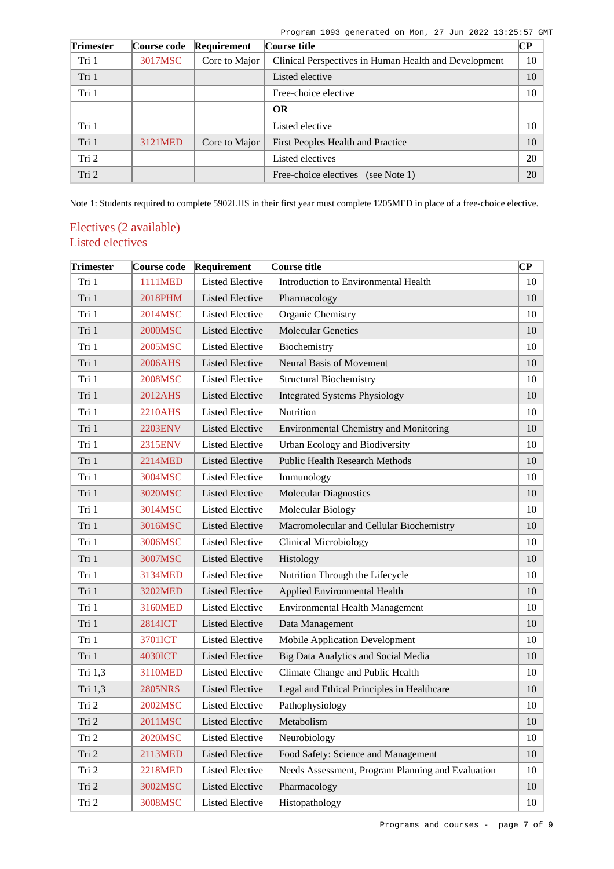Program 1093 generated on Mon, 27 Jun 2022 13:25:57 GMT

| <b>Trimester</b> | Course code | Requirement   | Course title                                          | <b>CP</b> |
|------------------|-------------|---------------|-------------------------------------------------------|-----------|
| Tri 1            | 3017MSC     | Core to Major | Clinical Perspectives in Human Health and Development | 10        |
| Tri 1            |             |               | Listed elective                                       | 10        |
| Tri 1            |             |               | Free-choice elective                                  | 10        |
|                  |             |               | <b>OR</b>                                             |           |
| Tri 1            |             |               | Listed elective                                       | 10        |
| Tri 1            | 3121MED     | Core to Major | First Peoples Health and Practice                     | 10        |
| Tri 2            |             |               | Listed electives                                      | 20        |
| Tri 2            |             |               | Free-choice electives<br>(see Note 1)                 | 20        |

Note 1: Students required to complete 5902LHS in their first year must complete 1205MED in place of a free-choice elective.

# Electives (2 available) Listed electives

| <b>Trimester</b> | Course code    | Requirement            | Course title                                      | CР |
|------------------|----------------|------------------------|---------------------------------------------------|----|
| Tri 1            | 1111MED        | <b>Listed Elective</b> | Introduction to Environmental Health              | 10 |
| Tri 1            | 2018PHM        | <b>Listed Elective</b> | Pharmacology                                      | 10 |
| Tri 1            | 2014MSC        | <b>Listed Elective</b> | Organic Chemistry                                 | 10 |
| Tri 1            | <b>2000MSC</b> | <b>Listed Elective</b> | <b>Molecular Genetics</b>                         | 10 |
| Tri 1            | 2005MSC        | <b>Listed Elective</b> | Biochemistry                                      | 10 |
| Tri 1            | 2006AHS        | <b>Listed Elective</b> | Neural Basis of Movement                          | 10 |
| Tri 1            | 2008MSC        | <b>Listed Elective</b> | <b>Structural Biochemistry</b>                    | 10 |
| Tri 1            | 2012AHS        | <b>Listed Elective</b> | <b>Integrated Systems Physiology</b>              | 10 |
| Tri 1            | 2210AHS        | <b>Listed Elective</b> | Nutrition                                         | 10 |
| Tri 1            | 2203ENV        | <b>Listed Elective</b> | Environmental Chemistry and Monitoring            | 10 |
| Tri 1            | 2315ENV        | <b>Listed Elective</b> | Urban Ecology and Biodiversity                    | 10 |
| Tri 1            | 2214MED        | <b>Listed Elective</b> | <b>Public Health Research Methods</b>             | 10 |
| Tri 1            | 3004MSC        | <b>Listed Elective</b> | Immunology                                        | 10 |
| Tri 1            | 3020MSC        | <b>Listed Elective</b> | <b>Molecular Diagnostics</b>                      | 10 |
| Tri 1            | 3014MSC        | <b>Listed Elective</b> | Molecular Biology                                 | 10 |
| Tri 1            | 3016MSC        | <b>Listed Elective</b> | Macromolecular and Cellular Biochemistry          | 10 |
| Tri 1            | 3006MSC        | <b>Listed Elective</b> | <b>Clinical Microbiology</b>                      | 10 |
| Tri 1            | 3007MSC        | <b>Listed Elective</b> | Histology                                         | 10 |
| Tri 1            | 3134MED        | <b>Listed Elective</b> | Nutrition Through the Lifecycle                   | 10 |
| Tri 1            | 3202MED        | <b>Listed Elective</b> | Applied Environmental Health                      | 10 |
| Tri 1            | 3160MED        | <b>Listed Elective</b> | <b>Environmental Health Management</b>            | 10 |
| Tri 1            | 2814ICT        | <b>Listed Elective</b> | Data Management                                   | 10 |
| Tri 1            | 3701ICT        | <b>Listed Elective</b> | Mobile Application Development                    | 10 |
| Tri 1            | 4030ICT        | <b>Listed Elective</b> | Big Data Analytics and Social Media               | 10 |
| Tri 1,3          | 3110MED        | <b>Listed Elective</b> | Climate Change and Public Health                  | 10 |
| Tri 1,3          | <b>2805NRS</b> | <b>Listed Elective</b> | Legal and Ethical Principles in Healthcare        | 10 |
| Tri 2            | 2002MSC        | <b>Listed Elective</b> | Pathophysiology                                   | 10 |
| Tri 2            | 2011MSC        | Listed Elective        | Metabolism                                        | 10 |
| Tri 2            | 2020MSC        | Listed Elective        | Neurobiology                                      | 10 |
| Tri 2            | 2113MED        | <b>Listed Elective</b> | Food Safety: Science and Management               | 10 |
| Tri 2            | <b>2218MED</b> | <b>Listed Elective</b> | Needs Assessment, Program Planning and Evaluation | 10 |
| Tri 2            | 3002MSC        | Listed Elective        | Pharmacology                                      | 10 |
| Tri 2            | 3008MSC        | Listed Elective        | Histopathology                                    | 10 |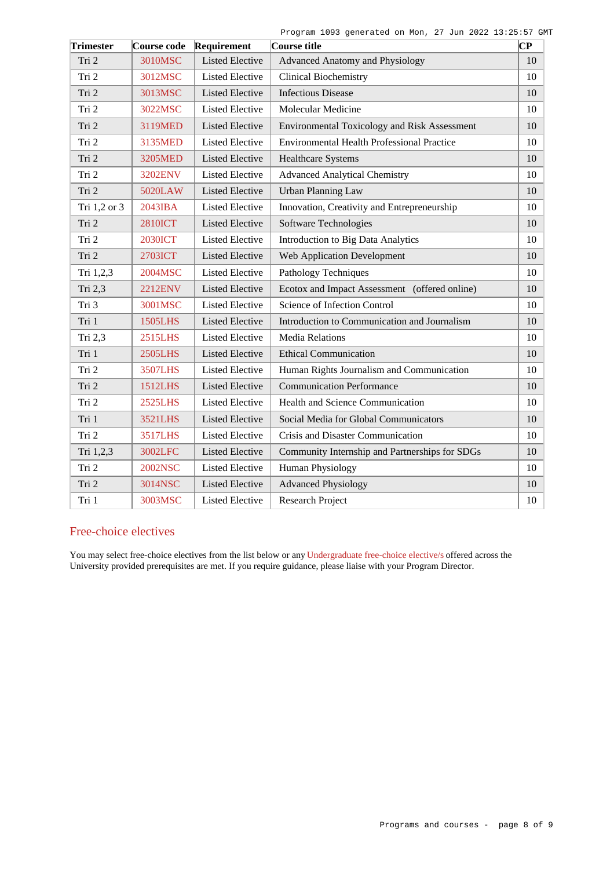|  | Program 1093 generated on Mon, 27 Jun 2022 13:25:57 GMT |  |  |  |  |
|--|---------------------------------------------------------|--|--|--|--|
|  |                                                         |  |  |  |  |

| <b>Trimester</b> | Course code       | Requirement            | Course title                                        | $ {\bf CP}$ |
|------------------|-------------------|------------------------|-----------------------------------------------------|-------------|
| Tri 2            | 3010MSC           | <b>Listed Elective</b> | <b>Advanced Anatomy and Physiology</b>              | 10          |
| Tri 2            | 3012MSC           | <b>Listed Elective</b> | <b>Clinical Biochemistry</b>                        | 10          |
| Tri 2            | 3013MSC           | <b>Listed Elective</b> | <b>Infectious Disease</b>                           | 10          |
| Tri 2            | 3022MSC           | <b>Listed Elective</b> | Molecular Medicine                                  | 10          |
| Tri 2            | 3119MED           | <b>Listed Elective</b> | <b>Environmental Toxicology and Risk Assessment</b> | 10          |
| Tri 2            | 3135MED           | <b>Listed Elective</b> | <b>Environmental Health Professional Practice</b>   | 10          |
| Tri 2            | 3205MED           | <b>Listed Elective</b> | <b>Healthcare Systems</b>                           | 10          |
| Tri 2            | 3202ENV           | <b>Listed Elective</b> | <b>Advanced Analytical Chemistry</b>                | 10          |
| Tri 2            | 5020LAW           | <b>Listed Elective</b> | <b>Urban Planning Law</b>                           | 10          |
| Tri 1,2 or 3     | $2043$ <b>IBA</b> | <b>Listed Elective</b> | Innovation, Creativity and Entrepreneurship         | 10          |
| Tri 2            | <b>2810ICT</b>    | <b>Listed Elective</b> | Software Technologies                               | 10          |
| Tri 2            | <b>2030ICT</b>    | <b>Listed Elective</b> | <b>Introduction to Big Data Analytics</b>           | 10          |
| Tri 2            | 2703ICT           | <b>Listed Elective</b> | <b>Web Application Development</b>                  | 10          |
| Tri 1,2,3        | 2004MSC           | <b>Listed Elective</b> | Pathology Techniques                                | 10          |
| Tri 2,3          | 2212ENV           | <b>Listed Elective</b> | Ecotox and Impact Assessment (offered online)       | 10          |
| Tri 3            | 3001MSC           | <b>Listed Elective</b> | Science of Infection Control                        | 10          |
| Tri 1            | 1505LHS           | <b>Listed Elective</b> | Introduction to Communication and Journalism        | 10          |
| Tri 2,3          | 2515LHS           | <b>Listed Elective</b> | <b>Media Relations</b>                              | 10          |
| Tri 1            | <b>2505LHS</b>    | <b>Listed Elective</b> | <b>Ethical Communication</b>                        | 10          |
| Tri 2            | 3507LHS           | <b>Listed Elective</b> | Human Rights Journalism and Communication           | 10          |
| Tri 2            | 1512LHS           | <b>Listed Elective</b> | <b>Communication Performance</b>                    | 10          |
| Tri 2            | 2525LHS           | <b>Listed Elective</b> | <b>Health and Science Communication</b>             | 10          |
| Tri 1            | <b>3521LHS</b>    | <b>Listed Elective</b> | Social Media for Global Communicators               | 10          |
| Tri 2            | 3517LHS           | <b>Listed Elective</b> | Crisis and Disaster Communication                   | 10          |
| Tri 1,2,3        | 3002LFC           | <b>Listed Elective</b> | Community Internship and Partnerships for SDGs      | 10          |
| Tri 2            | <b>2002NSC</b>    | <b>Listed Elective</b> | Human Physiology                                    | 10          |
| Tri 2            | 3014NSC           | <b>Listed Elective</b> | <b>Advanced Physiology</b>                          | 10          |
| Tri 1            | 3003MSC           | <b>Listed Elective</b> | <b>Research Project</b>                             | 10          |

## Free-choice electives

You may select free-choice electives from the list below or any [Undergraduate free-choice elective/s](https://www148.griffith.edu.au/programs-courses/Search/Results?SearchRequestType=CourseCatalogue&AcademicCareerName=UGRD&IsFreeChoiceElective=True) offered across the University provided prerequisites are met. If you require guidance, please liaise with your Program Director.